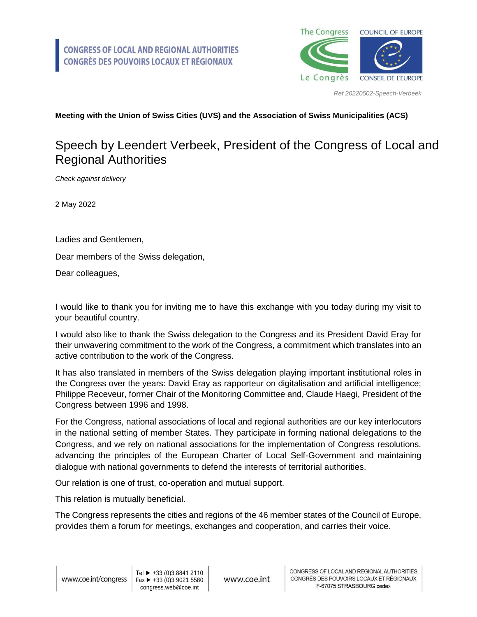

*Ref 20220502-Speech-Verbeek*

## **Meeting with the Union of Swiss Cities (UVS) and the Association of Swiss Municipalities (ACS)**

## Speech by Leendert Verbeek, President of the Congress of Local and Regional Authorities

*Check against delivery*

2 May 2022

Ladies and Gentlemen,

Dear members of the Swiss delegation,

Dear colleagues,

I would like to thank you for inviting me to have this exchange with you today during my visit to your beautiful country.

I would also like to thank the Swiss delegation to the Congress and its President David Eray for their unwavering commitment to the work of the Congress, a commitment which translates into an active contribution to the work of the Congress.

It has also translated in members of the Swiss delegation playing important institutional roles in the Congress over the years: David Eray as rapporteur on digitalisation and artificial intelligence; Philippe Receveur, former Chair of the Monitoring Committee and, Claude Haegi, President of the Congress between 1996 and 1998.

For the Congress, national associations of local and regional authorities are our key interlocutors in the national setting of member States. They participate in forming national delegations to the Congress, and we rely on national associations for the implementation of Congress resolutions, advancing the principles of the European Charter of Local Self-Government and maintaining dialogue with national governments to defend the interests of territorial authorities.

Our relation is one of trust, co-operation and mutual support.

This relation is mutually beneficial.

The Congress represents the cities and regions of the 46 member states of the Council of Europe, provides them a forum for meetings, exchanges and cooperation, and carries their voice.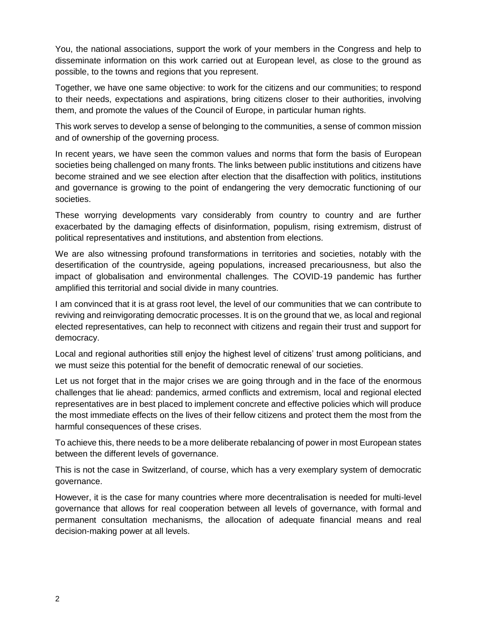You, the national associations, support the work of your members in the Congress and help to disseminate information on this work carried out at European level, as close to the ground as possible, to the towns and regions that you represent.

Together, we have one same objective: to work for the citizens and our communities; to respond to their needs, expectations and aspirations, bring citizens closer to their authorities, involving them, and promote the values of the Council of Europe, in particular human rights.

This work serves to develop a sense of belonging to the communities, a sense of common mission and of ownership of the governing process.

In recent years, we have seen the common values and norms that form the basis of European societies being challenged on many fronts. The links between public institutions and citizens have become strained and we see election after election that the disaffection with politics, institutions and governance is growing to the point of endangering the very democratic functioning of our societies.

These worrying developments vary considerably from country to country and are further exacerbated by the damaging effects of disinformation, populism, rising extremism, distrust of political representatives and institutions, and abstention from elections.

We are also witnessing profound transformations in territories and societies, notably with the desertification of the countryside, ageing populations, increased precariousness, but also the impact of globalisation and environmental challenges. The COVID-19 pandemic has further amplified this territorial and social divide in many countries.

I am convinced that it is at grass root level, the level of our communities that we can contribute to reviving and reinvigorating democratic processes. It is on the ground that we, as local and regional elected representatives, can help to reconnect with citizens and regain their trust and support for democracy.

Local and regional authorities still enjoy the highest level of citizens' trust among politicians, and we must seize this potential for the benefit of democratic renewal of our societies.

Let us not forget that in the major crises we are going through and in the face of the enormous challenges that lie ahead: pandemics, armed conflicts and extremism, local and regional elected representatives are in best placed to implement concrete and effective policies which will produce the most immediate effects on the lives of their fellow citizens and protect them the most from the harmful consequences of these crises.

To achieve this, there needs to be a more deliberate rebalancing of power in most European states between the different levels of governance.

This is not the case in Switzerland, of course, which has a very exemplary system of democratic governance.

However, it is the case for many countries where more decentralisation is needed for multi-level governance that allows for real cooperation between all levels of governance, with formal and permanent consultation mechanisms, the allocation of adequate financial means and real decision-making power at all levels.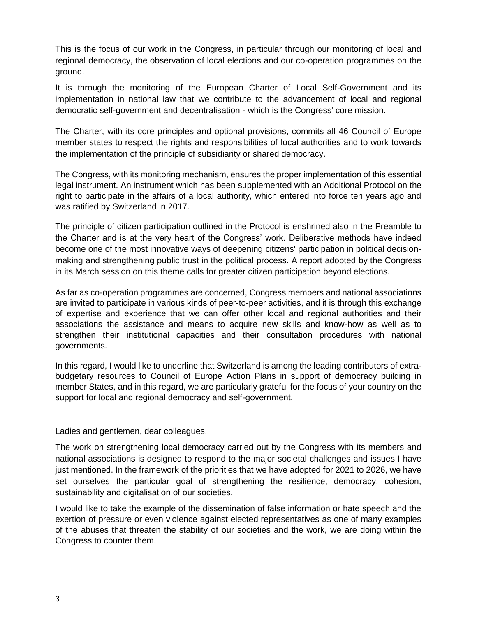This is the focus of our work in the Congress, in particular through our monitoring of local and regional democracy, the observation of local elections and our co-operation programmes on the ground.

It is through the monitoring of the European Charter of Local Self-Government and its implementation in national law that we contribute to the advancement of local and regional democratic self-government and decentralisation - which is the Congress' core mission.

The Charter, with its core principles and optional provisions, commits all 46 Council of Europe member states to respect the rights and responsibilities of local authorities and to work towards the implementation of the principle of subsidiarity or shared democracy.

The Congress, with its monitoring mechanism, ensures the proper implementation of this essential legal instrument. An instrument which has been supplemented with an Additional Protocol on the right to participate in the affairs of a local authority, which entered into force ten years ago and was ratified by Switzerland in 2017.

The principle of citizen participation outlined in the Protocol is enshrined also in the Preamble to the Charter and is at the very heart of the Congress' work. Deliberative methods have indeed become one of the most innovative ways of deepening citizens' participation in political decisionmaking and strengthening public trust in the political process. A report adopted by the Congress in its March session on this theme calls for greater citizen participation beyond elections.

As far as co-operation programmes are concerned, Congress members and national associations are invited to participate in various kinds of peer-to-peer activities, and it is through this exchange of expertise and experience that we can offer other local and regional authorities and their associations the assistance and means to acquire new skills and know-how as well as to strengthen their institutional capacities and their consultation procedures with national governments.

In this regard, I would like to underline that Switzerland is among the leading contributors of extrabudgetary resources to Council of Europe Action Plans in support of democracy building in member States, and in this regard, we are particularly grateful for the focus of your country on the support for local and regional democracy and self-government.

Ladies and gentlemen, dear colleagues,

The work on strengthening local democracy carried out by the Congress with its members and national associations is designed to respond to the major societal challenges and issues I have just mentioned. In the framework of the priorities that we have adopted for 2021 to 2026, we have set ourselves the particular goal of strengthening the resilience, democracy, cohesion, sustainability and digitalisation of our societies.

I would like to take the example of the dissemination of false information or hate speech and the exertion of pressure or even violence against elected representatives as one of many examples of the abuses that threaten the stability of our societies and the work, we are doing within the Congress to counter them.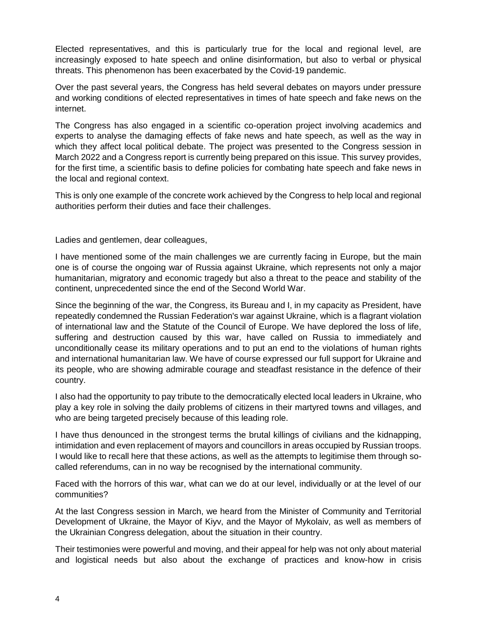Elected representatives, and this is particularly true for the local and regional level, are increasingly exposed to hate speech and online disinformation, but also to verbal or physical threats. This phenomenon has been exacerbated by the Covid-19 pandemic.

Over the past several years, the Congress has held several debates on mayors under pressure and working conditions of elected representatives in times of hate speech and fake news on the internet.

The Congress has also engaged in a scientific co-operation project involving academics and experts to analyse the damaging effects of fake news and hate speech, as well as the way in which they affect local political debate. The project was presented to the Congress session in March 2022 and a Congress report is currently being prepared on this issue. This survey provides, for the first time, a scientific basis to define policies for combating hate speech and fake news in the local and regional context.

This is only one example of the concrete work achieved by the Congress to help local and regional authorities perform their duties and face their challenges.

Ladies and gentlemen, dear colleagues,

I have mentioned some of the main challenges we are currently facing in Europe, but the main one is of course the ongoing war of Russia against Ukraine, which represents not only a major humanitarian, migratory and economic tragedy but also a threat to the peace and stability of the continent, unprecedented since the end of the Second World War.

Since the beginning of the war, the Congress, its Bureau and I, in my capacity as President, have repeatedly condemned the Russian Federation's war against Ukraine, which is a flagrant violation of international law and the Statute of the Council of Europe. We have deplored the loss of life, suffering and destruction caused by this war, have called on Russia to immediately and unconditionally cease its military operations and to put an end to the violations of human rights and international humanitarian law. We have of course expressed our full support for Ukraine and its people, who are showing admirable courage and steadfast resistance in the defence of their country.

I also had the opportunity to pay tribute to the democratically elected local leaders in Ukraine, who play a key role in solving the daily problems of citizens in their martyred towns and villages, and who are being targeted precisely because of this leading role.

I have thus denounced in the strongest terms the brutal killings of civilians and the kidnapping, intimidation and even replacement of mayors and councillors in areas occupied by Russian troops. I would like to recall here that these actions, as well as the attempts to legitimise them through socalled referendums, can in no way be recognised by the international community.

Faced with the horrors of this war, what can we do at our level, individually or at the level of our communities?

At the last Congress session in March, we heard from the Minister of Community and Territorial Development of Ukraine, the Mayor of Kiyv, and the Mayor of Mykolaiv, as well as members of the Ukrainian Congress delegation, about the situation in their country.

Their testimonies were powerful and moving, and their appeal for help was not only about material and logistical needs but also about the exchange of practices and know-how in crisis